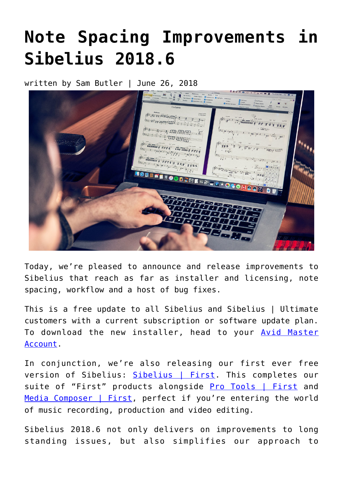# **[Note Spacing Improvements in](https://www.avidblogs.com/sibelius-2018-6/) [Sibelius 2018.6](https://www.avidblogs.com/sibelius-2018-6/)**

written by Sam Butler | June 26, 2018



Today, we're pleased to announce and release improvements to Sibelius that reach as far as installer and licensing, note spacing, workflow and a host of bug fixes.

This is a free update to all Sibelius and Sibelius | Ultimate customers with a current subscription or software update plan. To download the new installer, head to your [Avid Master](https://my.avid.com/products) [Account](https://my.avid.com/products).

In conjunction, we're also releasing our first ever free version of Sibelius: [Sibelius | First.](http://www.avidblogs.com/?p=155741) This completes our suite of "First" products alongside [Pro Tools | First](http://www.avid.com/pro-tools-first) and [Media Composer | First](http://www.avid.com/media-composer-first), perfect if you're entering the world of music recording, production and video editing.

Sibelius 2018.6 not only delivers on improvements to long standing issues, but also simplifies our approach to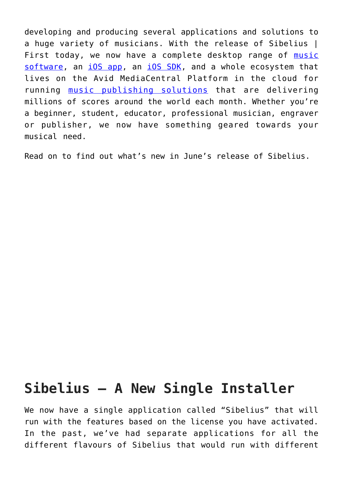developing and producing several applications and solutions to a huge variety of musicians. With the release of Sibelius I First today, we now have a complete desktop range of [music](http://www.avid.com/sibelius-ultimate) [software,](http://www.avid.com/sibelius-ultimate) an [iOS app](http://www.avid.com/products/avid-scorch), an [iOS SDK,](http://developer.avid.com/) and a whole ecosystem that lives on the Avid MediaCentral Platform in the cloud for running [music publishing solutions](https://www.avid.com/sibelius/cloud-sharing) that are delivering millions of scores around the world each month. Whether you're a beginner, student, educator, professional musician, engraver or publisher, we now have something geared towards your musical need.

Read on to find out what's new in June's release of Sibelius.

## **Sibelius – A New Single Installer**

We now have a single application called "Sibelius" that will run with the features based on the license you have activated. In the past, we've had separate applications for all the different flavours of Sibelius that would run with different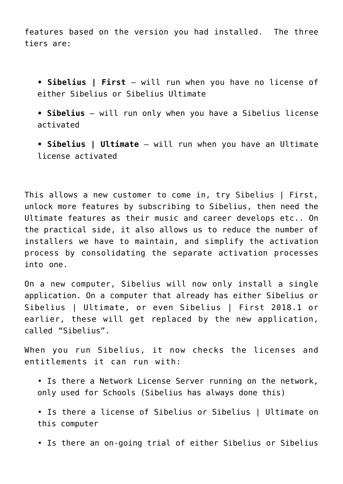features based on the version you had installed. The three tiers are:

- **Sibelius | First** will run when you have no license of either Sibelius or Sibelius Ultimate
- **Sibelius** will run only when you have a Sibelius license activated
- **Sibelius | Ultimate** will run when you have an Ultimate license activated

This allows a new customer to come in, try Sibelius | First, unlock more features by subscribing to Sibelius, then need the Ultimate features as their music and career develops etc.. On the practical side, it also allows us to reduce the number of installers we have to maintain, and simplify the activation process by consolidating the separate activation processes into one.

On a new computer, Sibelius will now only install a single application. On a computer that already has either Sibelius or Sibelius | Ultimate, or even Sibelius | First 2018.1 or earlier, these will get replaced by the new application, called "Sibelius".

When you run Sibelius, it now checks the licenses and entitlements it can run with:

- Is there a Network License Server running on the network, only used for Schools (Sibelius has always done this)
- Is there a license of Sibelius or Sibelius | Ultimate on this computer
- Is there an on-going trial of either Sibelius or Sibelius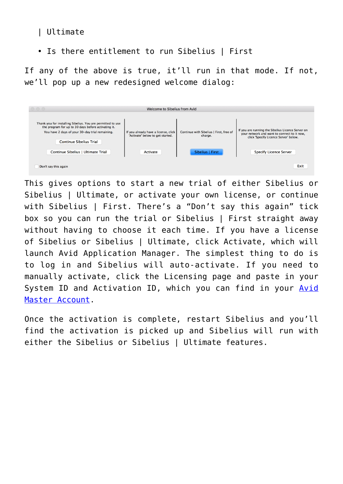| Ultimate

• Is there entitlement to run Sibelius | First

If any of the above is true, it'll run in that mode. If not, we'll pop up a new redesigned welcome dialog:

| $\bigcirc$ $\bigcirc$ $\bigcirc$<br>Welcome to Sibelius from Avid                                                                                                                                                                             |                                                                                             |                                                                        |                                                                                                                                                                            |
|-----------------------------------------------------------------------------------------------------------------------------------------------------------------------------------------------------------------------------------------------|---------------------------------------------------------------------------------------------|------------------------------------------------------------------------|----------------------------------------------------------------------------------------------------------------------------------------------------------------------------|
| Thank you for installing Sibelius. You are permitted to use<br>the program for up to 30 days before activating it.<br>You have 2 days of your 30-day trial remaining.<br><b>Continue Sibelius Trial</b><br>Continue Sibelius   Ultimate Trial | If you already have a license, click<br>'Activate' below to get started.<br><b>Activate</b> | Continue with Sibelius   First, free of<br>charge.<br>Sibelius   First | If you are running the Sibelius Licence Server on<br>your network and want to connect to it now,<br>click 'Specify Licence Server' below.<br><b>Specify Licence Server</b> |
| Don't say this again                                                                                                                                                                                                                          |                                                                                             |                                                                        | Exit                                                                                                                                                                       |

This gives options to start a new trial of either Sibelius or Sibelius | Ultimate, or activate your own license, or continue with Sibelius | First. There's a "Don't say this again" tick box so you can run the trial or Sibelius | First straight away without having to choose it each time. If you have a license of Sibelius or Sibelius | Ultimate, click Activate, which will launch Avid Application Manager. The simplest thing to do is to log in and Sibelius will auto-activate. If you need to manually activate, click the Licensing page and paste in your System ID and Activation ID, which you can find in your [Avid](https://my.avid.com/products) [Master Account](https://my.avid.com/products).

Once the activation is complete, restart Sibelius and you'll find the activation is picked up and Sibelius will run with either the Sibelius or Sibelius | Ultimate features.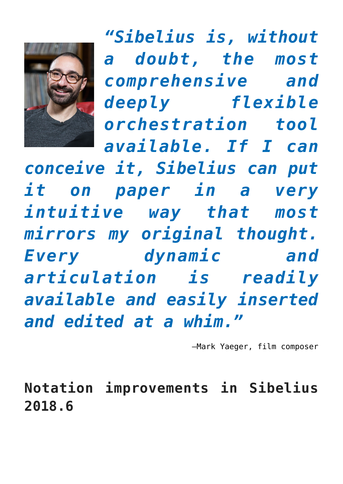

*"Sibelius is, without a doubt, the most comprehensive and deeply flexible orchestration tool available. If I can*

*conceive it, Sibelius can put it on paper in a very intuitive way that most mirrors my original thought. Every dynamic and articulation is readily available and easily inserted and edited at a whim."*

—Mark Yaeger, film composer

**Notation improvements in Sibelius 2018.6**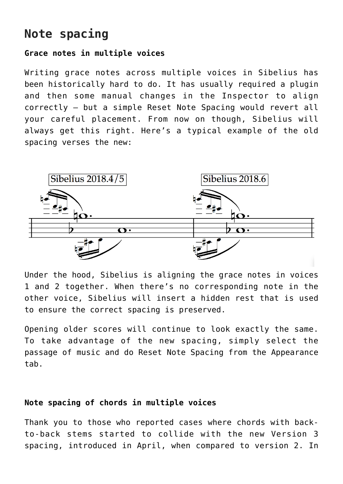### **Note spacing**

#### **Grace notes in multiple voices**

Writing grace notes across multiple voices in Sibelius has been historically hard to do. It has usually required a plugin and then some manual changes in the Inspector to align correctly – but a simple Reset Note Spacing would revert all your careful placement. From now on though, Sibelius will always get this right. Here's a typical example of the old spacing verses the new:



Under the hood, Sibelius is aligning the grace notes in voices 1 and 2 together. When there's no corresponding note in the other voice, Sibelius will insert a hidden rest that is used to ensure the correct spacing is preserved.

Opening older scores will continue to look exactly the same. To take advantage of the new spacing, simply select the passage of music and do Reset Note Spacing from the Appearance tab.

#### **Note spacing of chords in multiple voices**

Thank you to those who reported cases where chords with backto-back stems started to collide with the new Version 3 spacing, introduced in April, when compared to version 2. In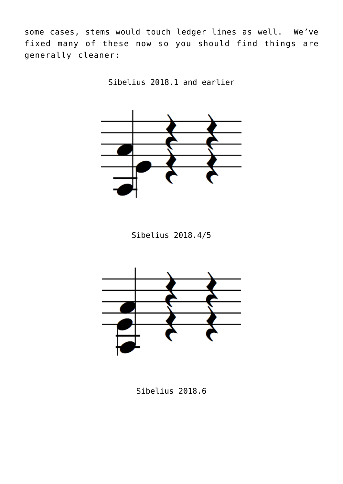some cases, stems would touch ledger lines as well. We've fixed many of these now so you should find things are generally cleaner:

Sibelius 2018.1 and earlier



Sibelius 2018.4/5



Sibelius 2018.6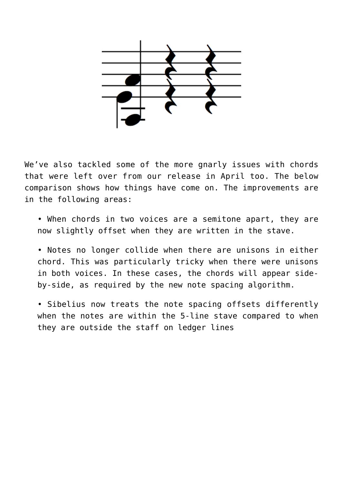

We've also tackled some of the more gnarly issues with chords that were left over from our release in April too. The below comparison shows how things have come on. The improvements are in the following areas:

• When chords in two voices are a semitone apart, they are now slightly offset when they are written in the stave.

• Notes no longer collide when there are unisons in either chord. This was particularly tricky when there were unisons in both voices. In these cases, the chords will appear sideby-side, as required by the new note spacing algorithm.

• Sibelius now treats the note spacing offsets differently when the notes are within the 5-line stave compared to when they are outside the staff on ledger lines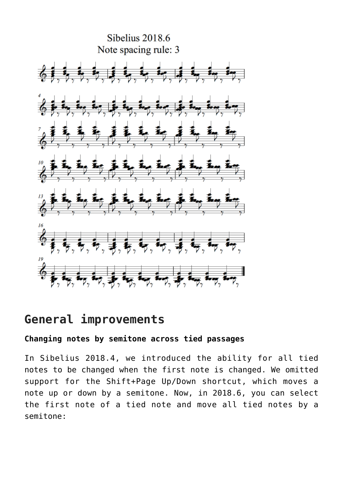

### **General improvements**

#### **Changing notes by semitone across tied passages**

In Sibelius 2018.4, we introduced the ability for all tied notes to be changed when the first note is changed. We omitted support for the Shift+Page Up/Down shortcut, which moves a note up or down by a semitone. Now, in 2018.6, you can select the first note of a tied note and move all tied notes by a semitone: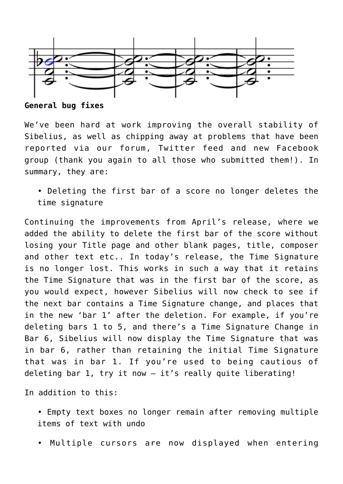

**General bug fixes**

We've been hard at work improving the overall stability of Sibelius, as well as chipping away at problems that have been reported via our forum, Twitter feed and new Facebook group (thank you again to all those who submitted them!). In summary, they are:

• Deleting the first bar of a score no longer deletes the time signature

Continuing the improvements from April's release, where we added the ability to delete the first bar of the score without losing your Title page and other blank pages, title, composer and other text etc.. In today's release, the Time Signature is no longer lost. This works in such a way that it retains the Time Signature that was in the first bar of the score, as you would expect, however Sibelius will now check to see if the next bar contains a Time Signature change, and places that in the new 'bar 1' after the deletion. For example, if you're deleting bars 1 to 5, and there's a Time Signature Change in Bar 6, Sibelius will now display the Time Signature that was in bar 6, rather than retaining the initial Time Signature that was in bar 1. If you're used to being cautious of deleting bar 1, try it now – it's really quite liberating!

In addition to this:

- Empty text boxes no longer remain after removing multiple items of text with undo
- Multiple cursors are now displayed when entering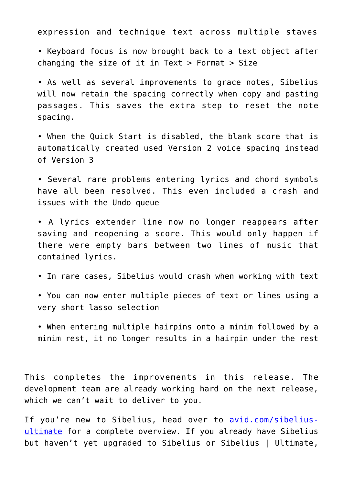expression and technique text across multiple staves

• Keyboard focus is now brought back to a text object after changing the size of it in Text  $>$  Format  $>$  Size

• As well as several improvements to grace notes, Sibelius will now retain the spacing correctly when copy and pasting passages. This saves the extra step to reset the note spacing.

• When the Quick Start is disabled, the blank score that is automatically created used Version 2 voice spacing instead of Version 3

• Several rare problems entering lyrics and chord symbols have all been resolved. This even included a crash and issues with the Undo queue

• A lyrics extender line now no longer reappears after saving and reopening a score. This would only happen if there were empty bars between two lines of music that contained lyrics.

• In rare cases, Sibelius would crash when working with text

• You can now enter multiple pieces of text or lines using a very short lasso selection

• When entering multiple hairpins onto a minim followed by a minim rest, it no longer results in a hairpin under the rest

This completes the improvements in this release. The development team are already working hard on the next release, which we can't wait to deliver to you.

If you're new to Sibelius, head over to [avid.com/sibelius](http://www.avid.com/sibelius-ultimate)[ultimate](http://www.avid.com/sibelius-ultimate) for a complete overview. If you already have Sibelius but haven't yet upgraded to Sibelius or Sibelius | Ultimate,